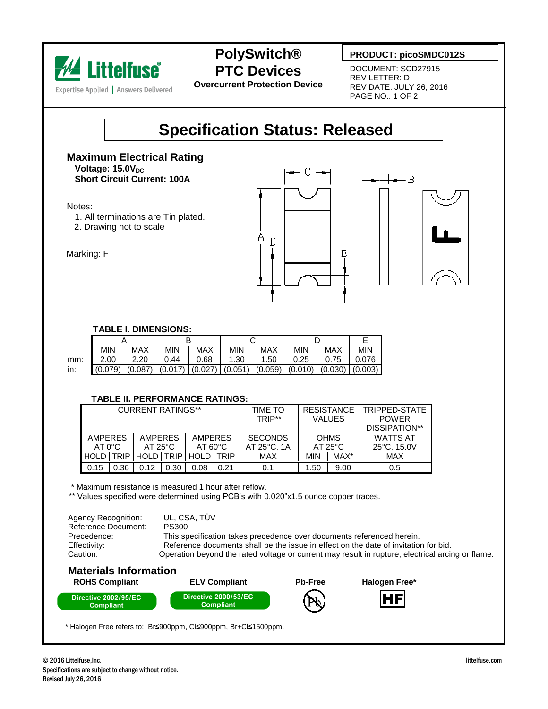

## **PolySwitch® PTC Devices**

**Overcurrent Protection Device**

### **PRODUCT: picoSMDC012S**

DOCUMENT: SCD27915 REV LETTER: D REV DATE: JULY 26, 2016 PAGE NO.: 1 OF 2

# **Specification Status: Released**

**Maximum Electrical Rating**  $V$ oltage: 15.0V<sub>DC</sub> **Short Circuit Current: 100A**

Notes:

- 1. All terminations are Tin plated.
- 2. Drawing not to scale



#### Marking: F

#### **TABLE I. DIMENSIONS:**

|     | <b>MIN</b>  | <b>MAX</b> | <b>MIN</b> | <b>MAX</b>                                                                      | <b>MIN</b> | <b>MAX</b> | <b>MIN</b> | MAX  | <b>MIN</b> |
|-----|-------------|------------|------------|---------------------------------------------------------------------------------|------------|------------|------------|------|------------|
| mm: | 2.00        | 2.20       | 0.44       | 0.68                                                                            | 1.30       | 1.50       | 0.25       | 0.75 | 0.076      |
| in: | $(0.079)$ I |            |            | $(0.087)$ $(0.017)$ $(0.027)$ $(0.051)$ $(0.059)$ $(0.010)$ $(0.030)$ $(0.003)$ |            |            |            |      |            |

#### **TABLE II. PERFORMANCE RATINGS:**

| <b>CURRENT RATINGS**</b>          |      |                                    |      |                                     |      | TIME TO<br>TRIP**                       | <b>RESISTANCE</b><br><b>VALUES</b> |      | TRIPPED-STATE<br><b>POWER</b><br>DISSIPATION** |  |
|-----------------------------------|------|------------------------------------|------|-------------------------------------|------|-----------------------------------------|------------------------------------|------|------------------------------------------------|--|
| <b>AMPERES</b><br>$AT 0^{\circ}C$ |      | <b>AMPERES</b><br>$AT 25^{\circ}C$ |      | <b>AMPERES</b><br>$AT 60^{\circ}$ C |      | <b>SECONDS</b><br>$AT 25^{\circ}$ C. 1A | <b>OHMS</b><br>$AT 25^{\circ}C$    |      | <b>WATTS AT</b><br>25°C, 15.0V                 |  |
| HOLD TRIP                         |      | HOLD TRIP                          |      | HOLD TRIP                           |      | <b>MAX</b>                              | <b>MIN</b>                         | MAX* | <b>MAX</b>                                     |  |
| 0.15                              | 0.36 | 0.12                               | 0.30 | 0.08                                | 0.21 | 0.1                                     | .50 <sub>1</sub>                   | 9.00 | 0.5                                            |  |

\* Maximum resistance is measured 1 hour after reflow.

\*\* Values specified were determined using PCB's with 0.020"x1.5 ounce copper traces.

 Agency Recognition: UL, CSA, TÜV Reference Document: PS300 Precedence: This specification takes precedence over documents referenced herein. Effectivity: Reference documents shall be the issue in effect on the date of invitation for bid. Caution: Operation beyond the rated voltage or current may result in rupture, electrical arcing or flame.



\* Halogen Free refers to: Br≤900ppm, Cl≤900ppm, Br+Cl≤1500ppm.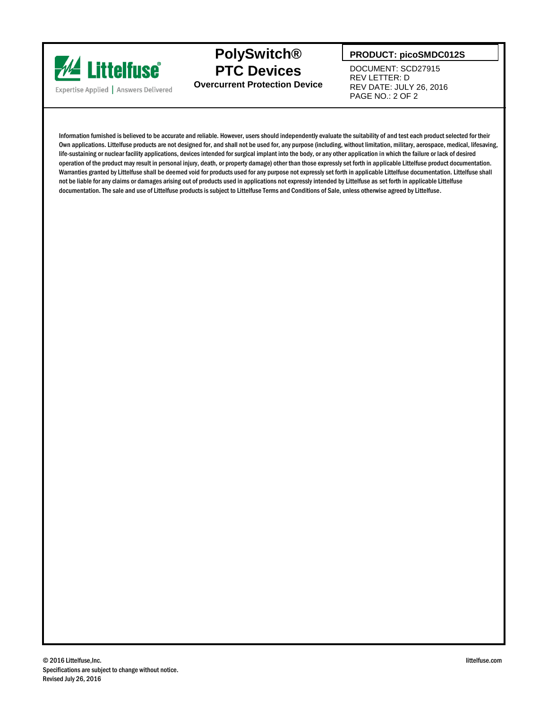

**PolySwitch® PTC Devices Overcurrent Protection Device**

### **PRODUCT: picoSMDC012S**

DOCUMENT: SCD27915 REV LETTER: D REV DATE: JULY 26, 2016 PAGE NO.: 2 OF 2

Information furnished is believed to be accurate and reliable. However, users should independently evaluate the suitability of and test each product selected for their Own applications. Littelfuse products are not designed for, and shall not be used for, any purpose (including, without limitation, military, aerospace, medical, lifesaving, life-sustaining or nuclear facility applications, devices intended for surgical implant into the body, or any other application in which the failure or lack of desired operation of the product may result in personal injury, death, or property damage) other than those expressly set forth in applicable Littelfuse product documentation. Warranties granted by Littelfuse shall be deemed void for products used for any purpose not expressly set forth in applicable Littelfuse documentation. Littelfuse shall not be liable for any claims or damages arising out of products used in applications not expressly intended by Littelfuse as set forth in applicable Littelfuse documentation. The sale and use of Littelfuse products is subject to Littelfuse Terms and Conditions of Sale, unless otherwise agreed by Littelfuse.